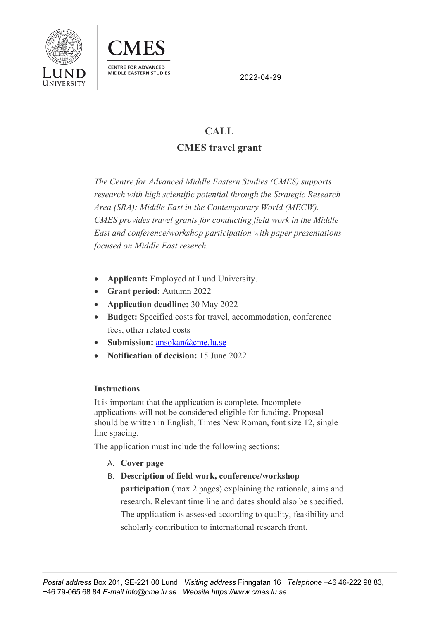



2022-04-29

## **CALL CMES travel grant**

*The Centre for Advanced Middle Eastern Studies (CMES) supports research with high scientific potential through the Strategic Research Area (SRA): Middle East in the Contemporary World (MECW). CMES provides travel grants for conducting field work in the Middle East and conference/workshop participation with paper presentations focused on Middle East reserch.*

- **Applicant:** Employed at Lund University.
- **Grant period:** Autumn 2022
- **Application deadline:** 30 May 2022
- **Budget:** Specified costs for travel, accommodation, conference fees, other related costs
- Submission: ansokan@cme.lu.se
- **Notification of decision:** 15 June 2022

## **Instructions**

It is important that the application is complete. Incomplete applications will not be considered eligible for funding. Proposal should be written in English, Times New Roman, font size 12, single line spacing.

The application must include the following sections:

- A. **Cover page**
- B. **Description of field work, conference/workshop**

**participation** (max 2 pages) explaining the rationale, aims and research. Relevant time line and dates should also be specified. The application is assessed according to quality, feasibility and scholarly contribution to international research front.